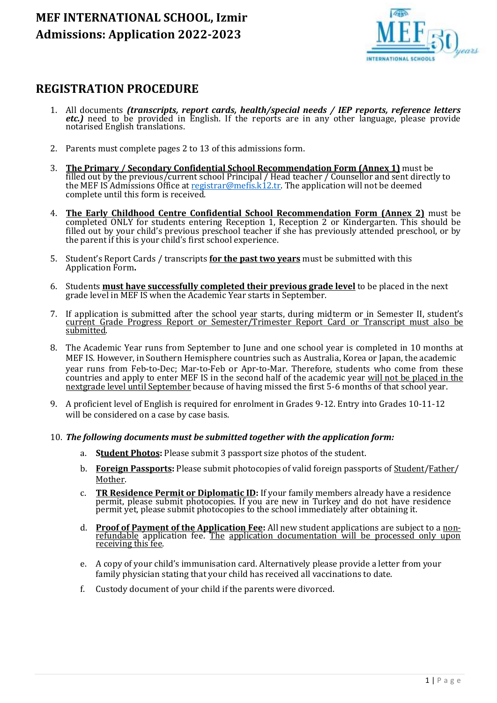

### **REGISTRATION PROCEDURE**

- 1. All documents *(transcripts, report cards, health/special needs / IEP reports, reference letters etc.)* need to be provided in English. If the reports are in any other language, please provide notarised English translations.
- 2. Parents must complete pages 2 to 13 of this admissions form.
- 3. **The Primary / Secondary Confidential School Recommendation Form (Annex 1)** must be filled out by the previous/current school Principal / Head teacher / Counsellor and sent directly to the MEF IS Admissions Office a[t registrar@mefis.k12.tr.](mailto:registrar@mefis.k12.tr) The application will not be deemed complete until this form is received.
- 4. **The Early Childhood Centre Confidential School Recommendation Form (Annex 2)** must be completed ONLY for students entering Reception 1, Reception 2 or Kindergarten. This should be filled out by your child's previous preschool teacher if she has previously attended preschool, or by the parent if this is your child's first school experience.
- 5. Student's Report Cards / transcripts **for the past two years** must be submitted with this Application Form**.**
- 6. Students **must have successfully completed their previous grade level** to be placed in the next grade level in MEF IS when the Academic Year starts in September.
- 7. If application is submitted after the school year starts, during midterm or in Semester II, student's current Grade Progress Report or Semester/Trimester Report Card or Transcript must also be submitted.
- 8. The Academic Year runs from September to June and one school year is completed in 10 months at MEF IS. However, in Southern Hemisphere countries such as Australia, Korea or Japan, the academic year runs from Feb-to-Dec; Mar-to-Feb or Apr-to-Mar. Therefore, students who come from these countries and apply to enter MEF IS in the second half of the academic year will not be placed in the nextgrade level until September because of having missed the first 5-6 months of that school year.
- 9. A proficient level of English is required for enrolment in Grades 9-12. Entry into Grades 10-11-12 will be considered on a case by case basis.
- 10. *The following documents must be submitted together with the application form:*
	- a. **Student Photos:** Please submit 3 passport size photos of the student.
	- b. **Foreign Passports:** Please submit photocopies of valid foreign passports of Student/Father/ Mother.
	- c. **TR Residence Permit or Diplomatic ID:** If your family members already have a residence permit, please submit photocopies. If you are new in Turkey and do not have residence permit yet, please submit photocopies to the school immediately after obtaining it.
	- d. **Proof of Payment of the Application Fee:** All new student applications are subject to a nonrefundable application fee. The application documentation will be processed only upon receiving this fee.
	- e. A copy of your child's immunisation card. Alternatively please provide a letter from your family physician stating that your child has received all vaccinations to date.
	- f. Custody document of your child if the parents were divorced.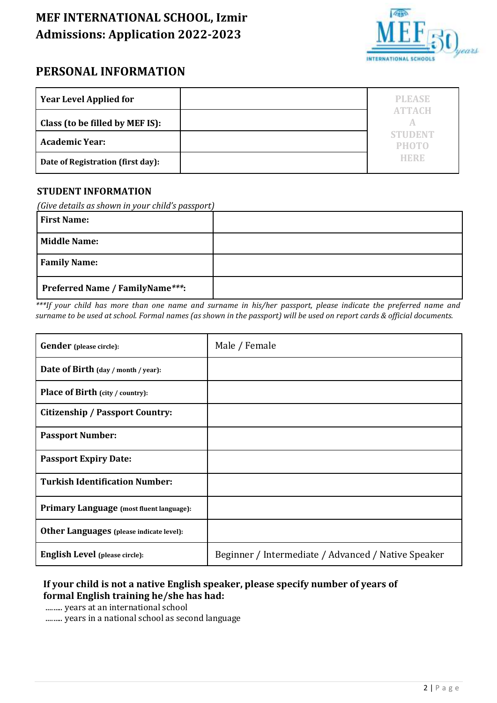

### **PERSONAL INFORMATION**

| <b>Year Level Applied for</b>     | <b>PLEASE</b>                  |
|-----------------------------------|--------------------------------|
| Class (to be filled by MEF IS):   | ATTEACH                        |
| <b>Academic Year:</b>             | <b>STUDENT</b><br><b>PHOTO</b> |
| Date of Registration (first day): | HERB                           |

#### **STUDENT INFORMATION**

*(Give details as shown in your child's passport)*

| <b>First Name:</b>              |  |
|---------------------------------|--|
| <b>Middle Name:</b>             |  |
| <b>Family Name:</b>             |  |
| Preferred Name / FamilyName***: |  |

*\*\*\*If your child has more than one name and surname in his/her passport, please indicate the preferred name and surname to be used at school. Formal names (as shown in the passport) will be used on report cards & official documents.*

| <b>Gender</b> (please circle):                  | Male / Female                                       |
|-------------------------------------------------|-----------------------------------------------------|
| Date of Birth (day / month / year):             |                                                     |
| <b>Place of Birth (city / country):</b>         |                                                     |
| <b>Citizenship / Passport Country:</b>          |                                                     |
| <b>Passport Number:</b>                         |                                                     |
| <b>Passport Expiry Date:</b>                    |                                                     |
| <b>Turkish Identification Number:</b>           |                                                     |
| <b>Primary Language</b> (most fluent language): |                                                     |
| <b>Other Languages</b> (please indicate level): |                                                     |
| <b>English Level</b> (please circle):           | Beginner / Intermediate / Advanced / Native Speaker |

### **If your child is not a native English speaker, please specify number of years of formal English training he/she has had:**

......... years at an international school

......... years in a national school as second language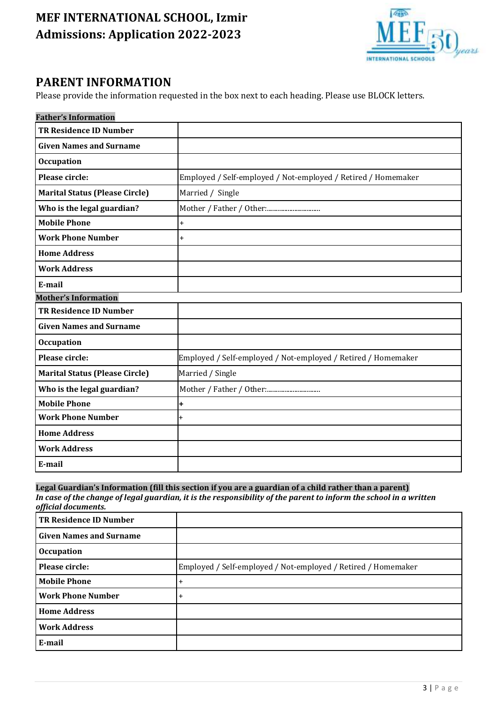

### **PARENT INFORMATION**

Please provide the information requested in the box next to each heading. Please use BLOCK letters.

| <b>Father's Information</b>           |                                                               |
|---------------------------------------|---------------------------------------------------------------|
| <b>TR Residence ID Number</b>         |                                                               |
| <b>Given Names and Surname</b>        |                                                               |
| <b>Occupation</b>                     |                                                               |
| Please circle:                        | Employed / Self-employed / Not-employed / Retired / Homemaker |
| <b>Marital Status (Please Circle)</b> | Married / Single                                              |
| Who is the legal guardian?            |                                                               |
| <b>Mobile Phone</b>                   | $\ddot{}$                                                     |
| <b>Work Phone Number</b>              | $\ddot{}$                                                     |
| <b>Home Address</b>                   |                                                               |
| <b>Work Address</b>                   |                                                               |
| E-mail                                |                                                               |
| <b>Mother's Information</b>           |                                                               |
| <b>TR Residence ID Number</b>         |                                                               |
| <b>Given Names and Surname</b>        |                                                               |
|                                       |                                                               |
| <b>Occupation</b>                     |                                                               |
| Please circle:                        | Employed / Self-employed / Not-employed / Retired / Homemaker |
| <b>Marital Status (Please Circle)</b> | Married / Single                                              |
| Who is the legal guardian?            |                                                               |
| <b>Mobile Phone</b>                   | +                                                             |
| <b>Work Phone Number</b>              | +                                                             |
| <b>Home Address</b>                   |                                                               |
| <b>Work Address</b>                   |                                                               |

#### **Legal Guardian's Information (fill this section if you are a guardian of a child rather than a parent)** *In case of the change of legal guardian, it is the responsibility of the parent to inform the school in a written official documents.*

| <b>TR Residence ID Number</b>  |                                                               |
|--------------------------------|---------------------------------------------------------------|
| <b>Given Names and Surname</b> |                                                               |
| <b>Occupation</b>              |                                                               |
| Please circle:                 | Employed / Self-employed / Not-employed / Retired / Homemaker |
| <b>Mobile Phone</b>            | $\overline{+}$                                                |
| <b>Work Phone Number</b>       | $+$                                                           |
| <b>Home Address</b>            |                                                               |
| <b>Work Address</b>            |                                                               |
| E-mail                         |                                                               |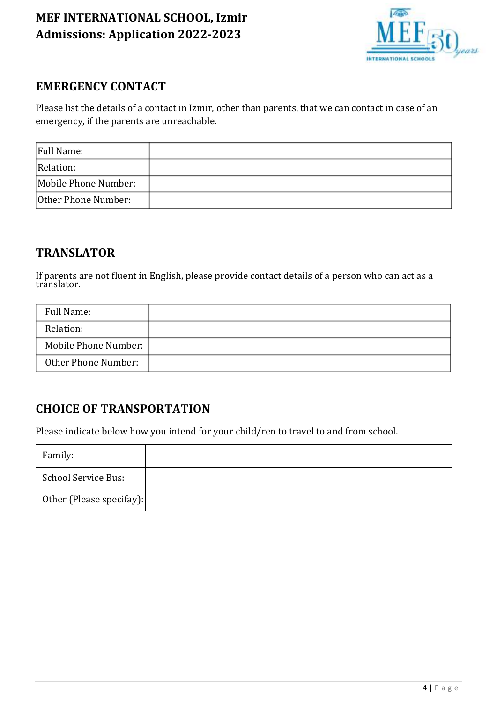

### **EMERGENCY CONTACT**

Please list the details of a contact in Izmir, other than parents, that we can contact in case of an emergency, if the parents are unreachable.

| Full Name:           |  |
|----------------------|--|
| Relation:            |  |
| Mobile Phone Number: |  |
| Other Phone Number:  |  |

### **TRANSLATOR**

If parents are not fluent in English, please provide contact details of a person who can act as a translator.

| Full Name:           |  |
|----------------------|--|
| Relation:            |  |
| Mobile Phone Number: |  |
| Other Phone Number:  |  |

## **CHOICE OF TRANSPORTATION**

Please indicate below how you intend for your child/ren to travel to and from school.

| Family:                  |  |
|--------------------------|--|
| School Service Bus:      |  |
| Other (Please specifay): |  |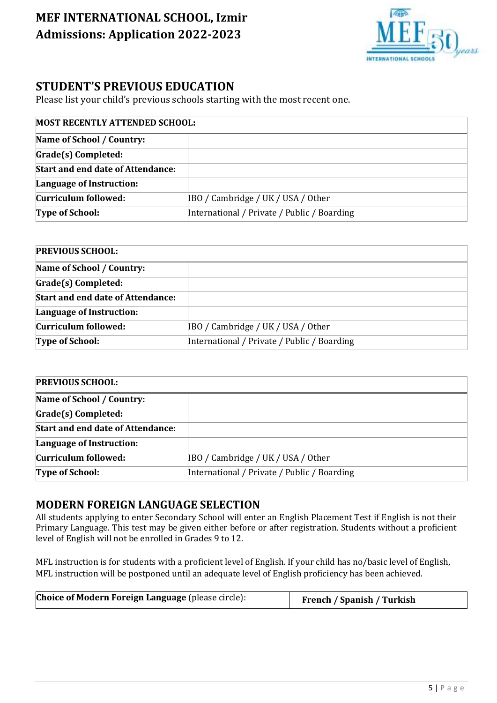

### **STUDENT'S PREVIOUS EDUCATION**

Please list your child's previous schools starting with the most recent one.

## **MOST RECENTLY ATTENDED SCHOOL: Name of School / Country: Grade(s) Completed: Start and end date of Attendance: Language of Instruction: Curriculum followed:** IBO / Cambridge / UK / USA / Other **Type of School:** International / Private / Public / Boarding

| <b>PREVIOUS SCHOOL:</b>                  |                                             |  |  |
|------------------------------------------|---------------------------------------------|--|--|
| Name of School / Country:                |                                             |  |  |
| Grade(s) Completed:                      |                                             |  |  |
| <b>Start and end date of Attendance:</b> |                                             |  |  |
| Language of Instruction:                 |                                             |  |  |
| Curriculum followed:                     | IBO / Cambridge / UK / USA / Other          |  |  |
| <b>Type of School:</b>                   | International / Private / Public / Boarding |  |  |

| <b>PREVIOUS SCHOOL:</b>                  |                                             |
|------------------------------------------|---------------------------------------------|
| Name of School / Country:                |                                             |
| Grade(s) Completed:                      |                                             |
| <b>Start and end date of Attendance:</b> |                                             |
| Language of Instruction:                 |                                             |
| Curriculum followed:                     | IBO / Cambridge / UK / USA / Other          |
| <b>Type of School:</b>                   | International / Private / Public / Boarding |

### **MODERN FOREIGN LANGUAGE SELECTION**

All students applying to enter Secondary School will enter an English Placement Test if English is not their Primary Language. This test may be given either before or after registration. Students without a proficient level of English will not be enrolled in Grades 9 to 12.

MFL instruction is for students with a proficient level of English. If your child has no/basic level of English, MFL instruction will be postponed until an adequate level of English proficiency has been achieved.

| <b>Choice of Modern Foreign Language</b> (please circle):<br><b>French / Spanish / Turkish</b> |
|------------------------------------------------------------------------------------------------|
|------------------------------------------------------------------------------------------------|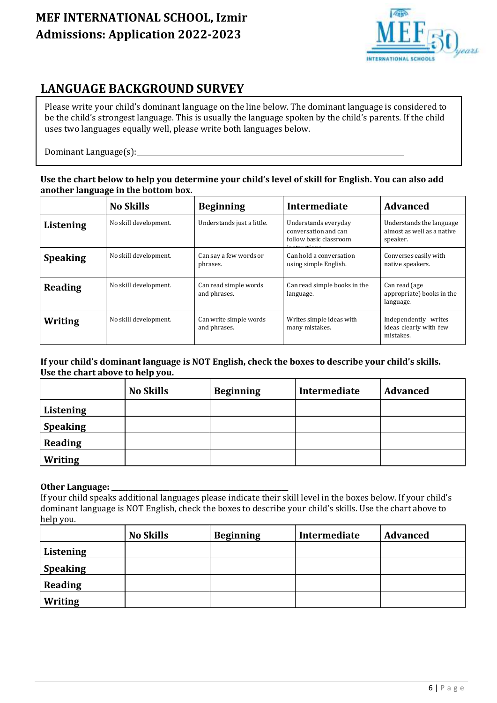

## **LANGUAGE BACKGROUND SURVEY**

Please write your child's dominant language on the line below. The dominant language is considered to be the child's strongest language. This is usually the language spoken by the child's parents. If the child uses two languages equally well, please write both languages below.

Dominant Language(s):

#### **Use the chart below to help you determine your child's level of skill for English. You can also add another language in the bottom box.**

|                 | <b>No Skills</b>      | <b>Beginning</b>                       | Intermediate                                                           | <b>Advanced</b>                                                    |
|-----------------|-----------------------|----------------------------------------|------------------------------------------------------------------------|--------------------------------------------------------------------|
| Listening       | No skill development. | Understands just a little.             | Understands everyday<br>conversation and can<br>follow basic classroom | Understands the language<br>almost as well as a native<br>speaker. |
| <b>Speaking</b> | No skill development. | Can say a few words or<br>phrases.     | Can hold a conversation<br>using simple English.                       | Converses easily with<br>native speakers.                          |
| <b>Reading</b>  | No skill development. | Can read simple words<br>and phrases.  | Can read simple books in the<br>language.                              | Can read (age<br>appropriate) books in the<br>language.            |
| Writing         | No skill development. | Can write simple words<br>and phrases. | Writes simple ideas with<br>many mistakes.                             | Independently writes<br>ideas clearly with few<br>mistakes.        |

#### **If your child's dominant language is NOT English, check the boxes to describe your child's skills. Use the chart above to help you.**

|                 | <b>No Skills</b> | <b>Beginning</b> | Intermediate | <b>Advanced</b> |
|-----------------|------------------|------------------|--------------|-----------------|
| Listening       |                  |                  |              |                 |
| <b>Speaking</b> |                  |                  |              |                 |
| Reading         |                  |                  |              |                 |
| Writing         |                  |                  |              |                 |

#### **Other Language: \_\_\_\_\_\_\_\_\_\_\_\_\_\_\_\_\_\_\_\_\_\_\_\_\_\_\_\_\_\_\_\_\_\_\_\_\_\_\_\_\_\_\_\_\_\_\_\_\_\_\_\_**

If your child speaks additional languages please indicate their skill level in the boxes below. If your child's dominant language is NOT English, check the boxes to describe your child's skills. Use the chart above to help you.

|                 | <b>No Skills</b> | <b>Beginning</b> | Intermediate | <b>Advanced</b> |
|-----------------|------------------|------------------|--------------|-----------------|
| Listening       |                  |                  |              |                 |
| <b>Speaking</b> |                  |                  |              |                 |
| <b>Reading</b>  |                  |                  |              |                 |
| <b>Writing</b>  |                  |                  |              |                 |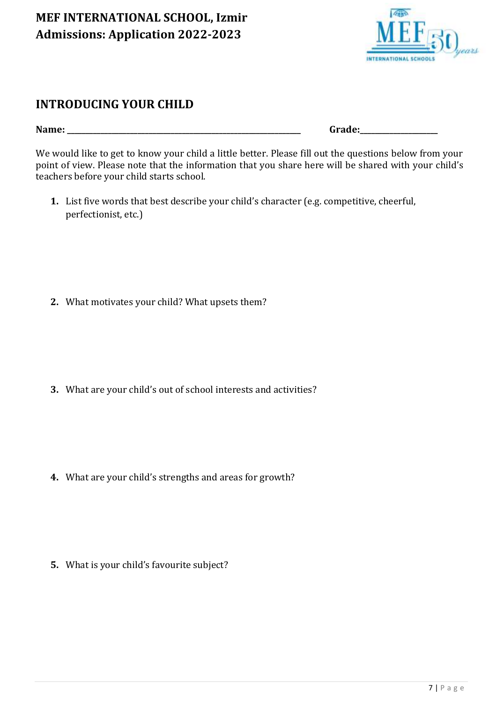

### **INTRODUCING YOUR CHILD**

**Name: \_\_\_\_\_\_\_\_\_\_\_\_\_\_\_\_\_\_\_\_\_\_\_\_\_\_\_\_\_\_\_\_\_\_\_\_\_\_\_\_\_\_\_\_\_\_\_\_\_\_\_\_\_\_\_\_\_\_\_\_\_\_\_ Grade:\_\_\_\_\_\_\_\_\_\_\_\_\_\_\_\_\_\_\_\_\_**

We would like to get to know your child a little better. Please fill out the questions below from your point of view. Please note that the information that you share here will be shared with your child's teachers before your child starts school.

**1.** List five words that best describe your child's character (e.g. competitive, cheerful, perfectionist, etc.)

**2.** What motivates your child? What upsets them?

**3.** What are your child's out of school interests and activities?

**4.** What are your child's strengths and areas for growth?

**5.** What is your child's favourite subject?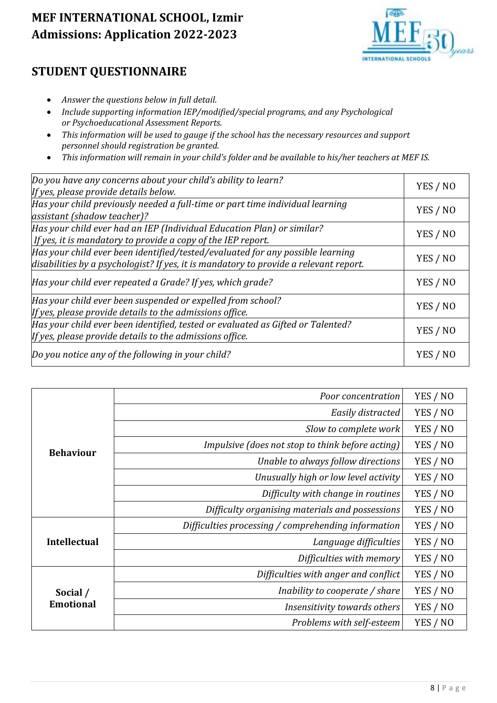

## **STUDENT QUESTIONNAIRE**

- *Answer the questions below in full detail.*
- *Include supporting information IEP/modified/special programs, and any Psychological or Psychoeducational Assessment Reports.*
- *This information will be used to gauge if the school has the necessary resources and support personnel should registration be granted.*
- *This information will remain in your child's folder and be available to his/her teachers at MEF IS.*

| Do you have any concerns about your child's ability to learn?<br>If yes, please provide details below.                                                                  | YES / NO |
|-------------------------------------------------------------------------------------------------------------------------------------------------------------------------|----------|
| Has your child previously needed a full-time or part time individual learning<br>assistant (shadow teacher)?                                                            | YES / NO |
| Has your child ever had an IEP (Individual Education Plan) or similar?<br>If yes, it is mandatory to provide a copy of the IEP report.                                  | YES / NO |
| Has your child ever been identified/tested/evaluated for any possible learning<br>disabilities by a psychologist? If yes, it is mandatory to provide a relevant report. | YES / NO |
| Has your child ever repeated a Grade? If yes, which grade?                                                                                                              | YES / NO |
| Has your child ever been suspended or expelled from school?<br>If yes, please provide details to the admissions office.                                                 | YES / NO |
| Has your child ever been identified, tested or evaluated as Gifted or Talented?<br>If yes, please provide details to the admissions office.                             |          |
| Do you notice any of the following in your child?                                                                                                                       | YES / NO |

|                     | Poor concentration                                  | YES / NO |
|---------------------|-----------------------------------------------------|----------|
|                     | Easily distracted                                   | YES / NO |
|                     | Slow to complete work                               | YES / NO |
| <b>Behaviour</b>    | Impulsive (does not stop to think before acting)    | YES / NO |
|                     | Unable to always follow directions                  | YES / NO |
|                     | Unusually high or low level activity                | YES / NO |
|                     | Difficulty with change in routines                  | YES / NO |
|                     | Difficulty organising materials and possessions     | YES / NO |
|                     | Difficulties processing / comprehending information | YES / NO |
| <b>Intellectual</b> | Language difficulties                               | YES / NO |
|                     | Difficulties with memory                            | YES / NO |
|                     | Difficulties with anger and conflict                | YES / NO |
| Social /            | Inability to cooperate / share                      | YES / NO |
| <b>Emotional</b>    | Insensitivity towards others                        | YES / NO |
|                     | Problems with self-esteem                           | YES / NO |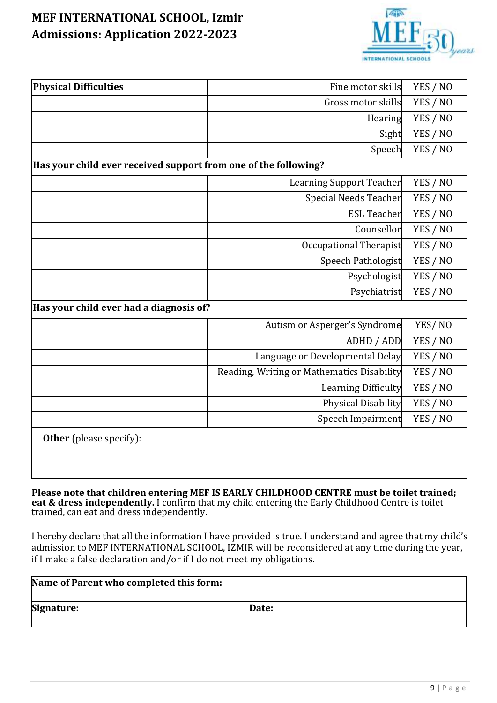

| <b>Physical Difficulties</b>                                    | Fine motor skills                          | YES / NO |
|-----------------------------------------------------------------|--------------------------------------------|----------|
|                                                                 | Gross motor skills                         | YES / NO |
|                                                                 | Hearing                                    | YES / NO |
|                                                                 | Sight                                      | YES / NO |
|                                                                 | Speech                                     | YES / NO |
| Has your child ever received support from one of the following? |                                            |          |
|                                                                 | Learning Support Teacher                   | YES / NO |
|                                                                 | <b>Special Needs Teacher</b>               | YES / NO |
|                                                                 | <b>ESL Teacher</b>                         | YES / NO |
|                                                                 | Counsellor                                 | YES / NO |
|                                                                 | Occupational Therapist                     | YES / NO |
|                                                                 | Speech Pathologist                         | YES / NO |
|                                                                 | Psychologist                               | YES / NO |
|                                                                 | Psychiatrist                               | YES / NO |
| Has your child ever had a diagnosis of?                         |                                            |          |
|                                                                 | Autism or Asperger's Syndrome              | YES/NO   |
|                                                                 | ADHD / ADD                                 | YES / NO |
|                                                                 | Language or Developmental Delay            | YES / NO |
|                                                                 | Reading, Writing or Mathematics Disability | YES / NO |
|                                                                 | Learning Difficulty                        | YES / NO |
|                                                                 | Physical Disability                        | YES / NO |
|                                                                 | Speech Impairment                          | YES / NO |
| <b>Other</b> (please specify):                                  |                                            |          |

**Please note that children entering MEF IS EARLY CHILDHOOD CENTRE must be toilet trained; eat & dress independently.** I confirm that my child entering the Early Childhood Centre is toilet trained, can eat and dress independently.

I hereby declare that all the information I have provided is true. I understand and agree that my child's admission to MEF INTERNATIONAL SCHOOL, IZMIR will be reconsidered at any time during the year, if I make a false declaration and/or if I do not meet my obligations.

| Name of Parent who completed this form: |       |
|-----------------------------------------|-------|
| Signature:                              | Date: |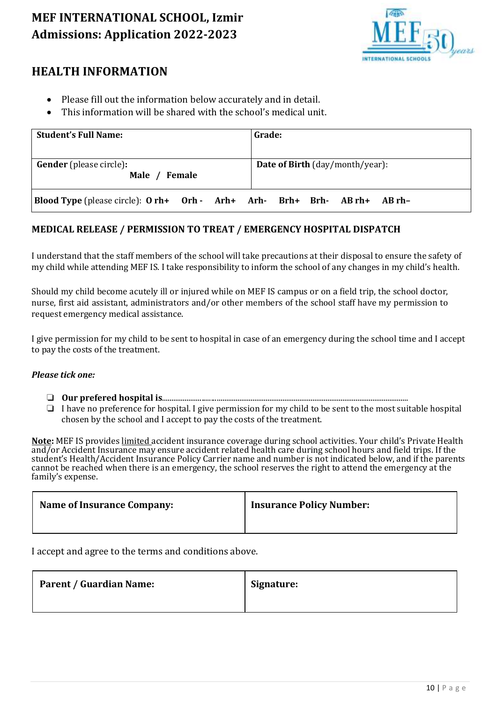

### **HEALTH INFORMATION**

- Please fill out the information below accurately and in detail.
- This information will be shared with the school's medical unit.

| <b>Student's Full Name:</b>                                        | Grade:                                 |
|--------------------------------------------------------------------|----------------------------------------|
| <b>Gender</b> (please circle):<br>Male / Female                    | <b>Date of Birth</b> (day/month/year): |
| Blood Type (please circle): O rh+ Orh - Arh+ Arh- Brh+ Brh- AB rh+ | AB rh-                                 |

### **MEDICAL RELEASE / PERMISSION TO TREAT / EMERGENCY HOSPITAL DISPATCH**

I understand that the staff members of the school will take precautions at their disposal to ensure the safety of my child while attending MEF IS. I take responsibility to inform the school of any changes in my child's health.

Should my child become acutely ill or injured while on MEF IS campus or on a field trip, the school doctor, nurse, first aid assistant, administrators and/or other members of the school staff have my permission to request emergency medical assistance.

I give permission for my child to be sent to hospital in case of an emergency during the school time and I accept to pay the costs of the treatment.

#### *Please tick one:*

- ❏ **Our prefered hospital is**...................................................................................................................................
- ❏ I have no preference for hospital. I give permission for my child to be sent to the most suitable hospital chosen by the school and I accept to pay the costs of the treatment.

**Note:** MEF IS provides limited accident insurance coverage during school activities. Your child's Private Health and/or Accident Insurance may ensure accident related health care during school hours and field trips. If the student's Health/Accident Insurance Policy Carrier name and number is not indicated below, and if the parents cannot be reached when there is an emergency, the school reserves the right to attend the emergency at the family's expense.

| <b>Name of Insurance Company:</b> | <b>Insurance Policy Number:</b> |
|-----------------------------------|---------------------------------|
|                                   |                                 |

I accept and agree to the terms and conditions above.

| <b>Parent / Guardian Name:</b> | Signature: |
|--------------------------------|------------|
|                                |            |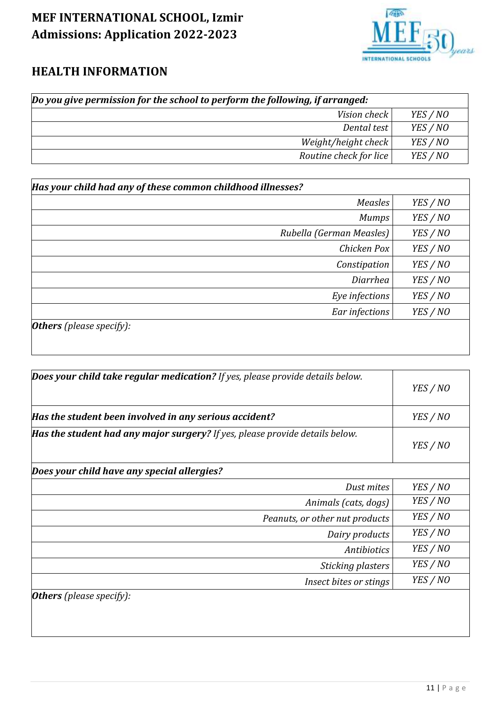

## **HEALTH INFORMATION**

| Do you give permission for the school to perform the following, if arranged: |          |
|------------------------------------------------------------------------------|----------|
| Vision check<br>YES / NO                                                     |          |
| Dental test                                                                  | YES / NO |
| $Weight/height$ check<br>YES / NO                                            |          |
| Routine check for lice                                                       | YES / NO |

| Has your child had any of these common childhood illnesses? |          |
|-------------------------------------------------------------|----------|
| Measles                                                     | YES / NO |
| <b>Mumps</b>                                                | YES / NO |
| Rubella (German Measles)                                    | YES / NO |
| Chicken Pox                                                 | YES / NO |
| Constipation                                                | YES / NO |
| Diarrhea                                                    | YES / NO |
| Eye infections                                              | YES / NO |
| Ear infections                                              | YES / NO |
| <b>Others</b> (please specify):                             |          |

| Does your child take regular medication? If yes, please provide details below. |          |
|--------------------------------------------------------------------------------|----------|
|                                                                                | YES / NO |
| Has the student been involved in any serious accident?                         | YES / NO |
| Has the student had any major surgery? If yes, please provide details below.   | YES / NO |
| Does your child have any special allergies?                                    |          |
| Dust mites                                                                     | YES / NO |
| Animals (cats, dogs)                                                           | YES / NO |
| Peanuts, or other nut products                                                 | YES / NO |
| Dairy products                                                                 | YES / NO |
| Antibiotics                                                                    | YES / NO |
| Sticking plasters                                                              | YES / NO |
| Insect bites or stings                                                         | YES / NO |
| <b>Others</b> (please specify):                                                |          |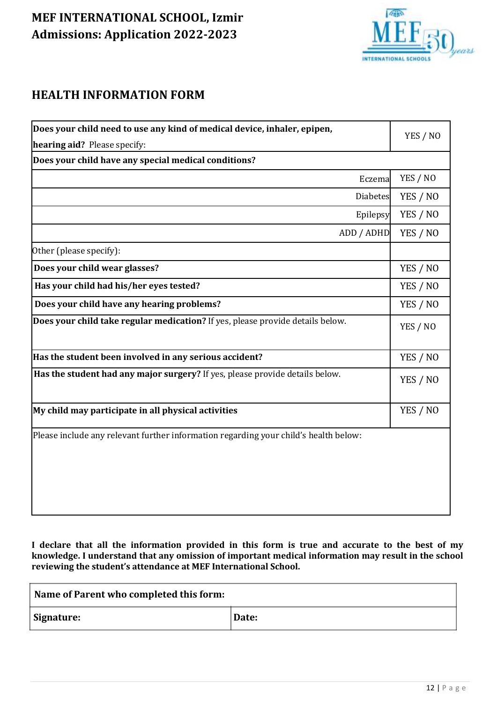

## **HEALTH INFORMATION FORM**

| Does your child need to use any kind of medical device, inhaler, epipen,             |          |
|--------------------------------------------------------------------------------------|----------|
| hearing aid? Please specify:                                                         |          |
| Does your child have any special medical conditions?                                 |          |
| Eczema                                                                               | YES / NO |
| <b>Diabetes</b>                                                                      | YES / NO |
| Epilepsy                                                                             | YES / NO |
| ADD / ADHD                                                                           | YES / NO |
| Other (please specify):                                                              |          |
| Does your child wear glasses?                                                        | YES / NO |
| Has your child had his/her eyes tested?                                              | YES / NO |
| Does your child have any hearing problems?                                           | YES / NO |
| Does your child take regular medication? If yes, please provide details below.       | YES / NO |
| Has the student been involved in any serious accident?                               | YES / NO |
| Has the student had any major surgery? If yes, please provide details below.         |          |
| My child may participate in all physical activities                                  |          |
| Please include any relevant further information regarding your child's health below: |          |

**I declare that all the information provided in this form is true and accurate to the best of my knowledge. I understand that any omission of important medical information may result in the school reviewing the student's attendance at MEF International School.**

| Name of Parent who completed this form: |       |
|-----------------------------------------|-------|
| Signature:                              | Date: |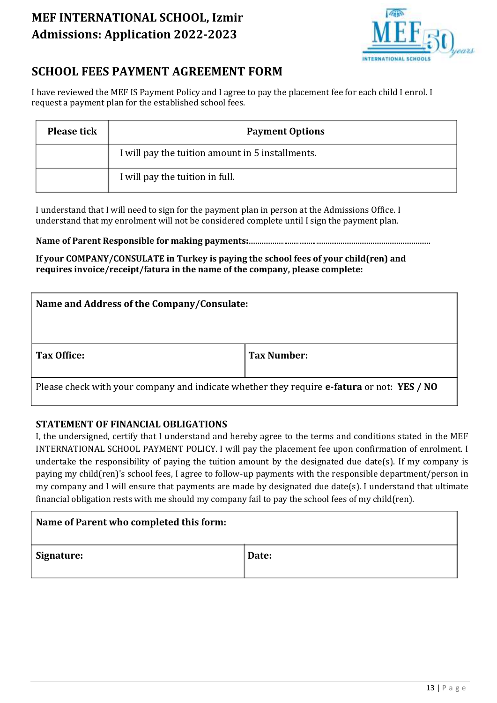

## **SCHOOL FEES PAYMENT AGREEMENT FORM**

I have reviewed the MEF IS Payment Policy and I agree to pay the placement fee for each child I enrol. I request a payment plan for the established school fees.

| <b>Please tick</b> | <b>Payment Options</b>                           |  |
|--------------------|--------------------------------------------------|--|
|                    | I will pay the tuition amount in 5 installments. |  |
|                    | I will pay the tuition in full.                  |  |

I understand that I will need to sign for the payment plan in person at the Admissions Office. I understand that my enrolment will not be considered complete until I sign the payment plan.

**Name of Parent Responsible for making payments:**.................................................................................................

**If your COMPANY/CONSULATE in Turkey is paying the school fees of your child(ren) and requires invoice/receipt/fatura in the name of the company, please complete:**

| Name and Address of the Company/Consulate:                                                        |             |  |
|---------------------------------------------------------------------------------------------------|-------------|--|
| Tax Office:                                                                                       | Tax Number: |  |
| Please check with your company and indicate whether they require <b>e-fatura</b> or not: YES / NO |             |  |

### **STATEMENT OF FINANCIAL OBLIGATIONS**

I, the undersigned, certify that I understand and hereby agree to the terms and conditions stated in the MEF INTERNATIONAL SCHOOL PAYMENT POLICY. I will pay the placement fee upon confirmation of enrolment. I undertake the responsibility of paying the tuition amount by the designated due date(s). If my company is paying my child(ren)'s school fees, I agree to follow-up payments with the responsible department/person in my company and I will ensure that payments are made by designated due date(s). I understand that ultimate financial obligation rests with me should my company fail to pay the school fees of my child(ren).

| Name of Parent who completed this form: |       |
|-----------------------------------------|-------|
| Signature:                              | Date: |